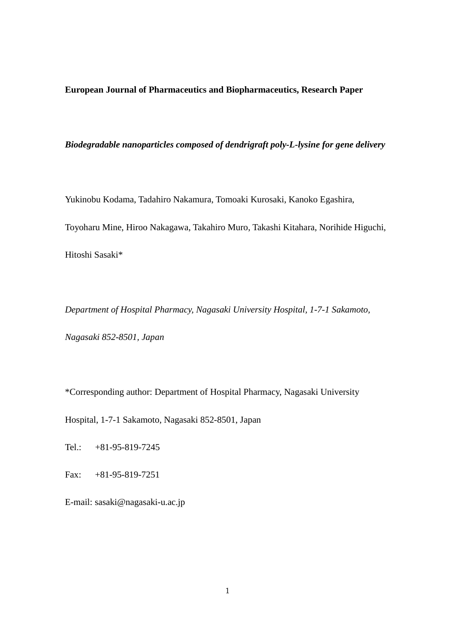**European Journal of Pharmaceutics and Biopharmaceutics, Research Paper**

*Biodegradable nanoparticles composed of dendrigraft poly-L-lysine for gene delivery*

Yukinobu Kodama, Tadahiro Nakamura, Tomoaki Kurosaki, Kanoko Egashira,

Toyoharu Mine, Hiroo Nakagawa, Takahiro Muro, Takashi Kitahara, Norihide Higuchi,

Hitoshi Sasaki\*

*Department of Hospital Pharmacy, Nagasaki University Hospital, 1-7-1 Sakamoto, Nagasaki 852-8501, Japan*

\*Corresponding author: Department of Hospital Pharmacy, Nagasaki University

Hospital, 1-7-1 Sakamoto, Nagasaki 852-8501, Japan

Tel.: +81-95-819-7245

Fax: +81-95-819-7251

E-mail: [sasaki@nagasaki-u.ac.jp](mailto:sasaki@nagasaki-u.ac.jp)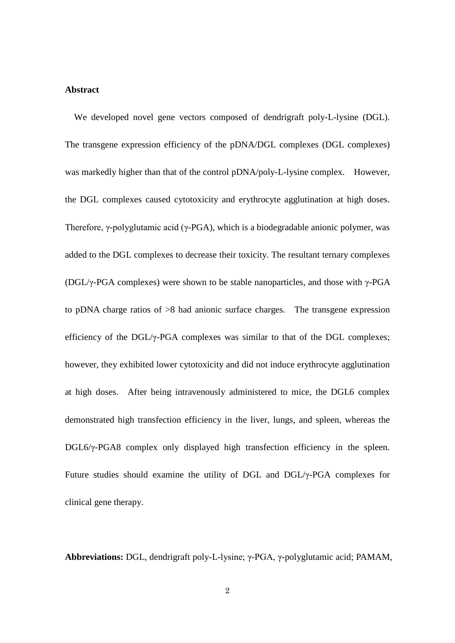# **Abstract**

 We developed novel gene vectors composed of dendrigraft poly-L-lysine (DGL). The transgene expression efficiency of the pDNA/DGL complexes (DGL complexes) was markedly higher than that of the control pDNA/poly-L-lysine complex. However, the DGL complexes caused cytotoxicity and erythrocyte agglutination at high doses. Therefore, γ-polyglutamic acid (γ-PGA), which is a biodegradable anionic polymer, was added to the DGL complexes to decrease their toxicity. The resultant ternary complexes (DGL/ $\gamma$ -PGA complexes) were shown to be stable nanoparticles, and those with  $\gamma$ -PGA to pDNA charge ratios of >8 had anionic surface charges. The transgene expression efficiency of the DGL/ $\gamma$ -PGA complexes was similar to that of the DGL complexes; however, they exhibited lower cytotoxicity and did not induce erythrocyte agglutination at high doses. After being intravenously administered to mice, the DGL6 complex demonstrated high transfection efficiency in the liver, lungs, and spleen, whereas the DGL6/γ-PGA8 complex only displayed high transfection efficiency in the spleen. Future studies should examine the utility of DGL and DGL/γ-PGA complexes for clinical gene therapy.

**Abbreviations:** DGL, dendrigraft poly-L-lysine; γ-PGA, γ-polyglutamic acid; PAMAM,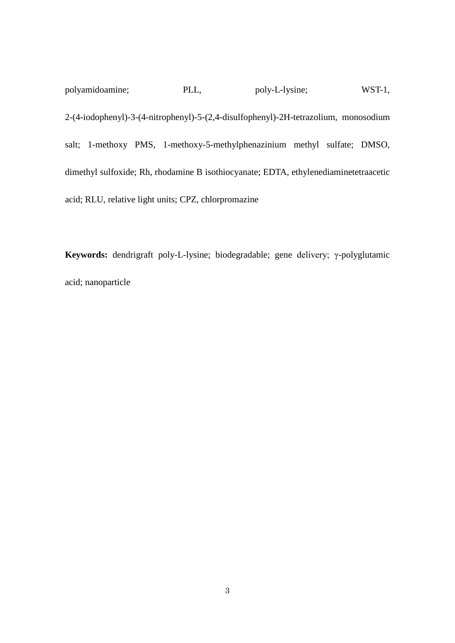polyamidoamine; PLL, poly-L-lysine; WST-1, 2-(4-iodophenyl)-3-(4-nitrophenyl)-5-(2,4-disulfophenyl)-2H-tetrazolium, monosodium salt; 1-methoxy PMS, 1-methoxy-5-methylphenazinium methyl sulfate; DMSO, dimethyl sulfoxide; Rh, rhodamine B isothiocyanate; EDTA, ethylenediaminetetraacetic acid; RLU, relative light units; CPZ, chlorpromazine

**Keywords:** dendrigraft poly-L-lysine; biodegradable; gene delivery; γ-polyglutamic acid; nanoparticle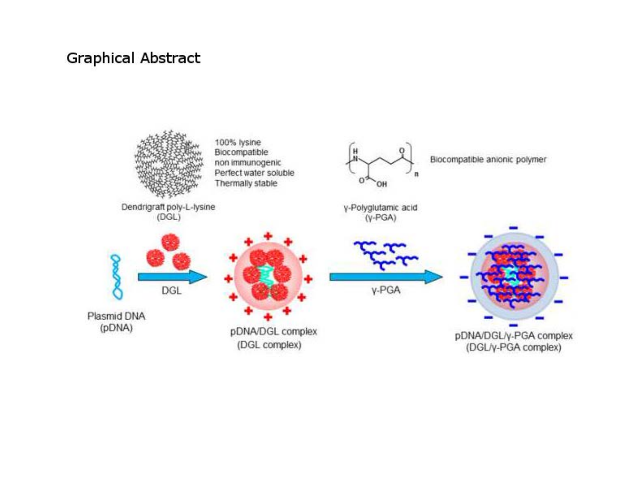# **Graphical Abstract**

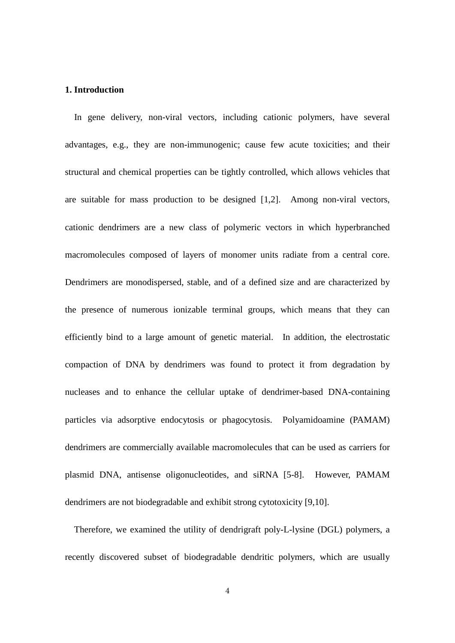# **1. Introduction**

 In gene delivery, non-viral vectors, including cationic polymers, have several advantages, e.g., they are non-immunogenic; cause few acute toxicities; and their structural and chemical properties can be tightly controlled, which allows vehicles that are suitable for mass production to be designed [1,2]. Among non-viral vectors, cationic dendrimers are a new class of polymeric vectors in which hyperbranched macromolecules composed of layers of monomer units radiate from a central core. Dendrimers are monodispersed, stable, and of a defined size and are characterized by the presence of numerous ionizable terminal groups, which means that they can efficiently bind to a large amount of genetic material. In addition, the electrostatic compaction of DNA by dendrimers was found to protect it from degradation by nucleases and to enhance the cellular uptake of dendrimer-based DNA-containing particles via adsorptive endocytosis or phagocytosis. Polyamidoamine (PAMAM) dendrimers are commercially available macromolecules that can be used as carriers for plasmid DNA, antisense oligonucleotides, and siRNA [5-8]. However, PAMAM dendrimers are not biodegradable and exhibit strong cytotoxicity [9,10].

Therefore, we examined the utility of dendrigraft poly-L-lysine (DGL) polymers, a recently discovered subset of biodegradable dendritic polymers, which are usually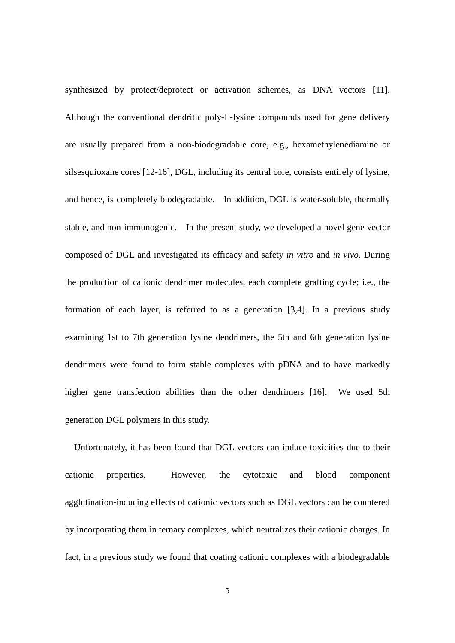synthesized by protect/deprotect or activation schemes, as DNA vectors [11]. Although the conventional dendritic poly-L-lysine compounds used for gene delivery are usually prepared from a non-biodegradable core, e.g., hexamethylenediamine or silsesquioxane cores [12-16], DGL, including its central core, consists entirely of lysine, and hence, is completely biodegradable. In addition, DGL is water-soluble, thermally stable, and non-immunogenic. In the present study, we developed a novel gene vector composed of DGL and investigated its efficacy and safety *in vitro* and *in vivo*. During the production of cationic dendrimer molecules, each complete grafting cycle; i.e., the formation of each layer, is referred to as a generation [3,4]. In a previous study examining 1st to 7th generation lysine dendrimers, the 5th and 6th generation lysine dendrimers were found to form stable complexes with pDNA and to have markedly higher gene transfection abilities than the other dendrimers [16]. We used 5th generation DGL polymers in this study.

Unfortunately, it has been found that DGL vectors can induce toxicities due to their cationic properties. However, the cytotoxic and blood component agglutination-inducing effects of cationic vectors such as DGL vectors can be countered by incorporating them in ternary complexes, which neutralizes their cationic charges. In fact, in a previous study we found that coating cationic complexes with a biodegradable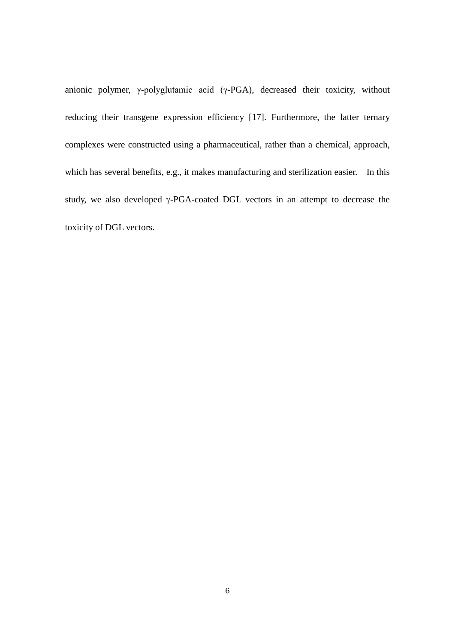anionic polymer, γ-polyglutamic acid (γ-PGA), decreased their toxicity, without reducing their transgene expression efficiency [17]. Furthermore, the latter ternary complexes were constructed using a pharmaceutical, rather than a chemical, approach, which has several benefits, e.g., it makes manufacturing and sterilization easier. In this study, we also developed γ-PGA-coated DGL vectors in an attempt to decrease the toxicity of DGL vectors.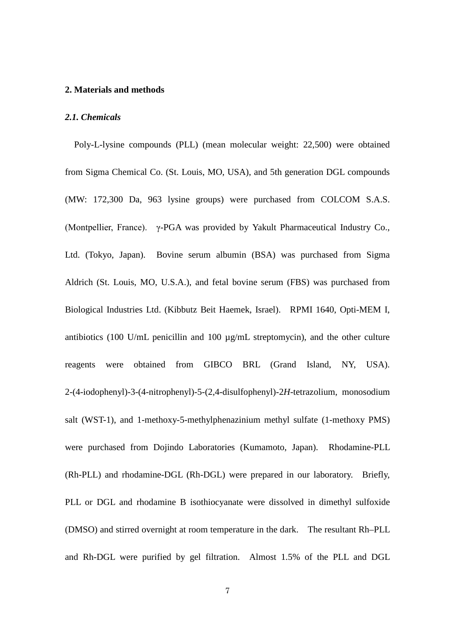### **2. Materials and methods**

#### *2.1. Chemicals*

Poly-L-lysine compounds (PLL) (mean molecular weight: 22,500) were obtained from Sigma Chemical Co. (St. Louis, MO, USA), and 5th generation DGL compounds (MW: 172,300 Da, 963 lysine groups) were purchased from COLCOM S.A.S. (Montpellier, France). γ-PGA was provided by Yakult Pharmaceutical Industry Co., Ltd. (Tokyo, Japan). Bovine serum albumin (BSA) was purchased from Sigma Aldrich (St. Louis, MO, U.S.A.), and fetal bovine serum (FBS) was purchased from Biological Industries Ltd. (Kibbutz Beit Haemek, Israel). RPMI 1640, Opti-MEM I, antibiotics (100 U/mL penicillin and 100 µg/mL streptomycin), and the other culture reagents were obtained from GIBCO BRL (Grand Island, NY, USA). 2-(4-iodophenyl)-3-(4-nitrophenyl)-5-(2,4-disulfophenyl)-2*H*-tetrazolium, monosodium salt (WST-1), and 1-methoxy-5-methylphenazinium methyl sulfate (1-methoxy PMS) were purchased from Dojindo Laboratories (Kumamoto, Japan). Rhodamine-PLL (Rh-PLL) and rhodamine-DGL (Rh-DGL) were prepared in our laboratory. Briefly, PLL or DGL and rhodamine B isothiocyanate were dissolved in dimethyl sulfoxide (DMSO) and stirred overnight at room temperature in the dark. The resultant Rh–PLL and Rh-DGL were purified by gel filtration. Almost 1.5% of the PLL and DGL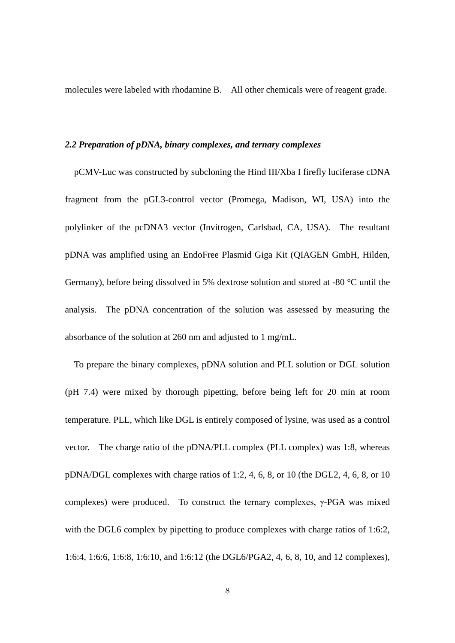molecules were labeled with rhodamine B. All other chemicals were of reagent grade.

#### *2.2 Preparation of pDNA, binary complexes, and ternary complexes*

pCMV-Luc was constructed by subcloning the Hind III/Xba I firefly luciferase cDNA fragment from the pGL3-control vector (Promega, Madison, WI, USA) into the polylinker of the pcDNA3 vector (Invitrogen, Carlsbad, CA, USA). The resultant pDNA was amplified using an EndoFree Plasmid Giga Kit (QIAGEN GmbH, Hilden, Germany), before being dissolved in 5% dextrose solution and stored at -80 °C until the analysis. The pDNA concentration of the solution was assessed by measuring the absorbance of the solution at 260 nm and adjusted to 1 mg/mL.

To prepare the binary complexes, pDNA solution and PLL solution or DGL solution (pH 7.4) were mixed by thorough pipetting, before being left for 20 min at room temperature. PLL, which like DGL is entirely composed of lysine, was used as a control vector. The charge ratio of the pDNA/PLL complex (PLL complex) was 1:8, whereas pDNA/DGL complexes with charge ratios of 1:2, 4, 6, 8, or 10 (the DGL2, 4, 6, 8, or 10 complexes) were produced. To construct the ternary complexes,  $\gamma$ -PGA was mixed with the DGL6 complex by pipetting to produce complexes with charge ratios of 1:6:2, 1:6:4, 1:6:6, 1:6:8, 1:6:10, and 1:6:12 (the DGL6/PGA2, 4, 6, 8, 10, and 12 complexes),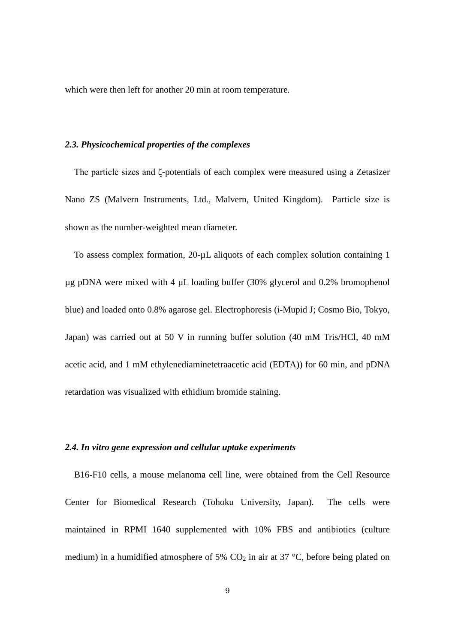which were then left for another 20 min at room temperature.

#### *2.3. Physicochemical properties of the complexes*

The particle sizes and ζ-potentials of each complex were measured using a Zetasizer Nano ZS (Malvern Instruments, Ltd., Malvern, United Kingdom). Particle size is shown as the number-weighted mean diameter.

To assess complex formation, 20-µL aliquots of each complex solution containing 1 µg pDNA were mixed with 4 µL loading buffer (30% glycerol and 0.2% bromophenol blue) and loaded onto 0.8% agarose gel. Electrophoresis (i-Mupid J; Cosmo Bio, Tokyo, Japan) was carried out at 50 V in running buffer solution (40 mM Tris/HCl, 40 mM acetic acid, and 1 mM ethylenediaminetetraacetic acid (EDTA)) for 60 min, and pDNA retardation was visualized with ethidium bromide staining.

# *2.4. In vitro gene expression and cellular uptake experiments*

B16-F10 cells, a mouse melanoma cell line, were obtained from the Cell Resource Center for Biomedical Research (Tohoku University, Japan). The cells were maintained in RPMI 1640 supplemented with 10% FBS and antibiotics (culture medium) in a humidified atmosphere of 5%  $CO<sub>2</sub>$  in air at 37 °C, before being plated on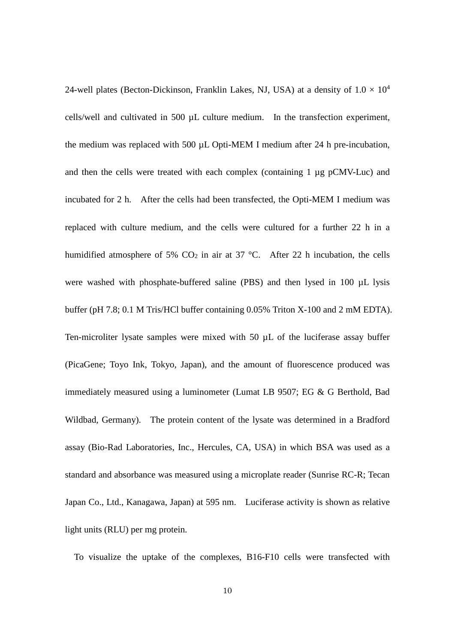24-well plates (Becton-Dickinson, Franklin Lakes, NJ, USA) at a density of  $1.0 \times 10^4$ cells/well and cultivated in 500 µL culture medium. In the transfection experiment, the medium was replaced with 500 µL Opti-MEM I medium after 24 h pre-incubation, and then the cells were treated with each complex (containing 1 µg pCMV-Luc) and incubated for 2 h. After the cells had been transfected, the Opti-MEM I medium was replaced with culture medium, and the cells were cultured for a further 22 h in a humidified atmosphere of 5%  $CO<sub>2</sub>$  in air at 37 °C. After 22 h incubation, the cells were washed with phosphate-buffered saline (PBS) and then lysed in 100 µL lysis buffer (pH 7.8; 0.1 M Tris/HCl buffer containing 0.05% Triton X-100 and 2 mM EDTA). Ten-microliter lysate samples were mixed with 50 µL of the luciferase assay buffer (PicaGene; Toyo Ink, Tokyo, Japan), and the amount of fluorescence produced was immediately measured using a luminometer (Lumat LB 9507; EG & G Berthold, Bad Wildbad, Germany). The protein content of the lysate was determined in a Bradford assay (Bio-Rad Laboratories, Inc., Hercules, CA, USA) in which BSA was used as a standard and absorbance was measured using a microplate reader (Sunrise RC-R; Tecan Japan Co., Ltd., Kanagawa, Japan) at 595 nm. Luciferase activity is shown as relative light units (RLU) per mg protein.

To visualize the uptake of the complexes, B16-F10 cells were transfected with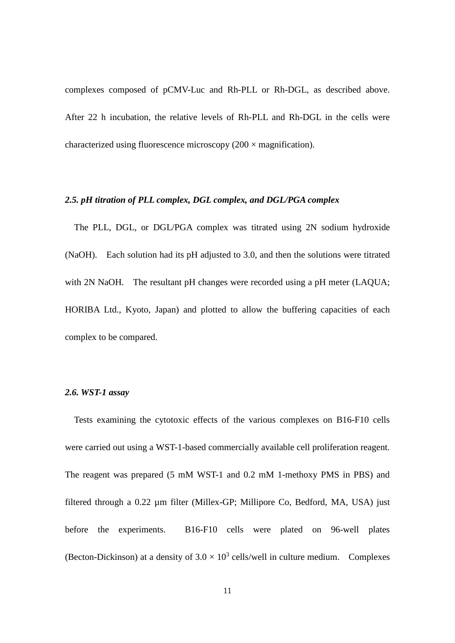complexes composed of pCMV-Luc and Rh-PLL or Rh-DGL, as described above. After 22 h incubation, the relative levels of Rh-PLL and Rh-DGL in the cells were characterized using fluorescence microscopy  $(200 \times$  magnification).

### *2.5. pH titration of PLL complex, DGL complex, and DGL/PGA complex*

 The PLL, DGL, or DGL/PGA complex was titrated using 2N sodium hydroxide (NaOH). Each solution had its pH adjusted to 3.0, and then the solutions were titrated with 2N NaOH. The resultant pH changes were recorded using a pH meter (LAQUA; HORIBA Ltd., Kyoto, Japan) and plotted to allow the buffering capacities of each complex to be compared.

#### *2.6. WST-1 assay*

 Tests examining the cytotoxic effects of the various complexes on B16-F10 cells were carried out using a WST-1-based commercially available cell proliferation reagent. The reagent was prepared (5 mM WST-1 and 0.2 mM 1-methoxy PMS in PBS) and filtered through a 0.22 µm filter (Millex-GP; Millipore Co, Bedford, MA, USA) just before the experiments. B16-F10 cells were plated on 96-well plates (Becton-Dickinson) at a density of  $3.0 \times 10^3$  cells/well in culture medium. Complexes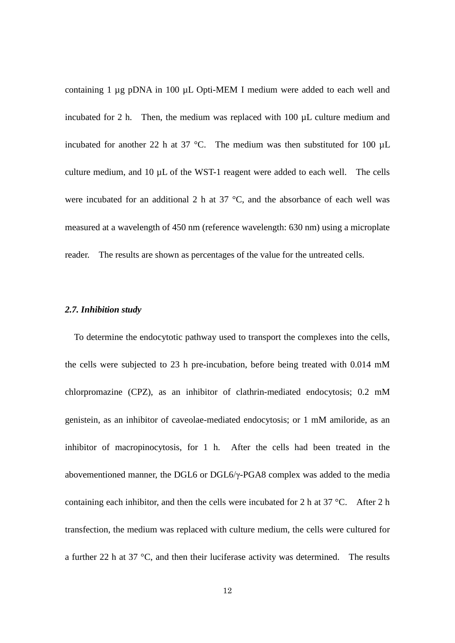containing 1 µg pDNA in 100 µL Opti-MEM I medium were added to each well and incubated for 2 h. Then, the medium was replaced with  $100 \mu L$  culture medium and incubated for another 22 h at 37 °C. The medium was then substituted for 100  $\mu$ L culture medium, and 10 µL of the WST-1 reagent were added to each well. The cells were incubated for an additional 2 h at  $37 \text{ °C}$ , and the absorbance of each well was measured at a wavelength of 450 nm (reference wavelength: 630 nm) using a microplate reader. The results are shown as percentages of the value for the untreated cells.

#### *2.7. Inhibition study*

 To determine the endocytotic pathway used to transport the complexes into the cells, the cells were subjected to 23 h pre-incubation, before being treated with 0.014 mM chlorpromazine (CPZ), as an inhibitor of clathrin-mediated endocytosis; 0.2 mM genistein, as an inhibitor of caveolae-mediated endocytosis; or 1 mM amiloride, as an inhibitor of macropinocytosis, for 1 h. After the cells had been treated in the abovementioned manner, the DGL6 or DGL6/γ-PGA8 complex was added to the media containing each inhibitor, and then the cells were incubated for 2 h at  $37^{\circ}$ C. After 2 h transfection, the medium was replaced with culture medium, the cells were cultured for a further 22 h at 37  $\degree$ C, and then their luciferase activity was determined. The results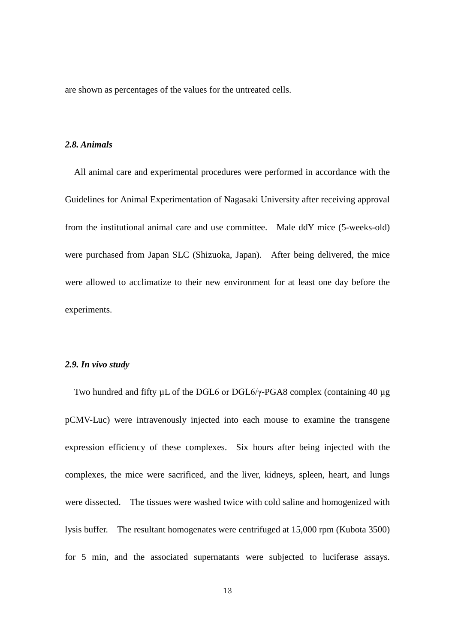are shown as percentages of the values for the untreated cells.

#### *2.8. Animals*

 All animal care and experimental procedures were performed in accordance with the Guidelines for Animal Experimentation of Nagasaki University after receiving approval from the institutional animal care and use committee. Male ddY mice (5-weeks-old) were purchased from Japan SLC (Shizuoka, Japan). After being delivered, the mice were allowed to acclimatize to their new environment for at least one day before the experiments.

#### *2.9. In vivo study*

 Two hundred and fifty µL of the DGL6 or DGL6/γ-PGA8 complex (containing 40 µg pCMV-Luc) were intravenously injected into each mouse to examine the transgene expression efficiency of these complexes. Six hours after being injected with the complexes, the mice were sacrificed, and the liver, kidneys, spleen, heart, and lungs were dissected. The tissues were washed twice with cold saline and homogenized with lysis buffer. The resultant homogenates were centrifuged at 15,000 rpm (Kubota 3500) for 5 min, and the associated supernatants were subjected to luciferase assays.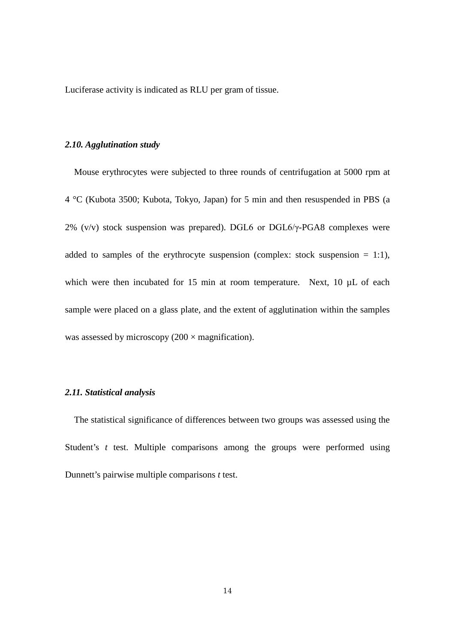Luciferase activity is indicated as RLU per gram of tissue.

#### *2.10. Agglutination study*

Mouse erythrocytes were subjected to three rounds of centrifugation at 5000 rpm at 4 °C (Kubota 3500; Kubota, Tokyo, Japan) for 5 min and then resuspended in PBS (a 2% (v/v) stock suspension was prepared). DGL6 or DGL6/ $\gamma$ -PGA8 complexes were added to samples of the erythrocyte suspension (complex: stock suspension  $= 1:1$ ), which were then incubated for 15 min at room temperature. Next, 10  $\mu$ L of each sample were placed on a glass plate, and the extent of agglutination within the samples was assessed by microscopy  $(200 \times$  magnification).

#### *2.11. Statistical analysis*

The statistical significance of differences between two groups was assessed using the Student's *t* test. Multiple comparisons among the groups were performed using Dunnett's pairwise multiple comparisons *t* test.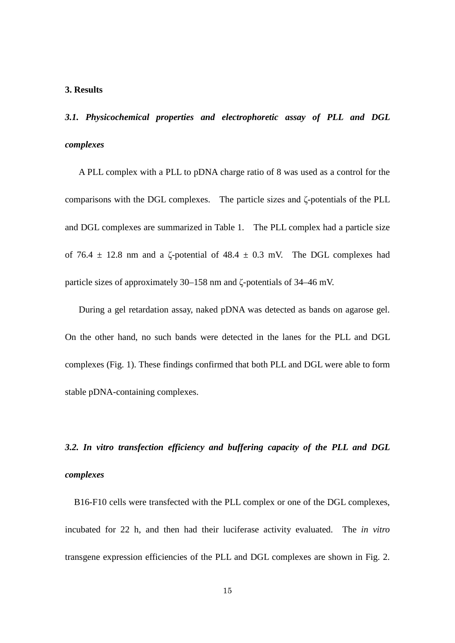# **3. Results**

*3.1. Physicochemical properties and electrophoretic assay of PLL and DGL complexes*

 A PLL complex with a PLL to pDNA charge ratio of 8 was used as a control for the comparisons with the DGL complexes. The particle sizes and ζ-potentials of the PLL and DGL complexes are summarized in Table 1. The PLL complex had a particle size of 76.4  $\pm$  12.8 nm and a  $\zeta$ -potential of 48.4  $\pm$  0.3 mV. The DGL complexes had particle sizes of approximately 30–158 nm and ζ-potentials of 34–46 mV.

 During a gel retardation assay, naked pDNA was detected as bands on agarose gel. On the other hand, no such bands were detected in the lanes for the PLL and DGL complexes (Fig. 1). These findings confirmed that both PLL and DGL were able to form stable pDNA-containing complexes.

*3.2. In vitro transfection efficiency and buffering capacity of the PLL and DGL complexes*

 B16-F10 cells were transfected with the PLL complex or one of the DGL complexes, incubated for 22 h, and then had their luciferase activity evaluated. The *in vitro*  transgene expression efficiencies of the PLL and DGL complexes are shown in Fig. 2.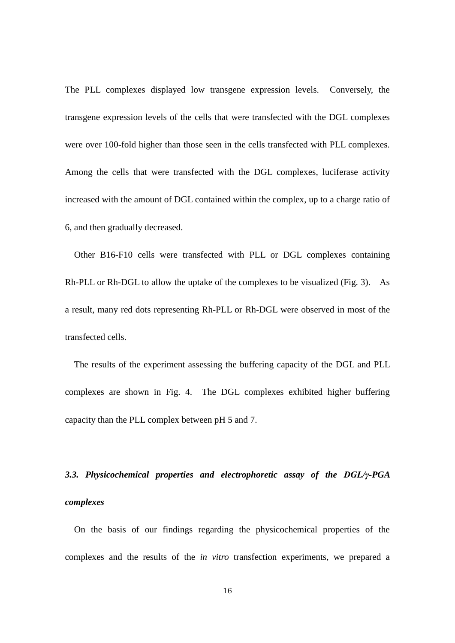The PLL complexes displayed low transgene expression levels. Conversely, the transgene expression levels of the cells that were transfected with the DGL complexes were over 100-fold higher than those seen in the cells transfected with PLL complexes. Among the cells that were transfected with the DGL complexes, luciferase activity increased with the amount of DGL contained within the complex, up to a charge ratio of 6, and then gradually decreased.

 Other B16-F10 cells were transfected with PLL or DGL complexes containing Rh-PLL or Rh-DGL to allow the uptake of the complexes to be visualized (Fig. 3). As a result, many red dots representing Rh-PLL or Rh-DGL were observed in most of the transfected cells.

 The results of the experiment assessing the buffering capacity of the DGL and PLL complexes are shown in Fig. 4. The DGL complexes exhibited higher buffering capacity than the PLL complex between pH 5 and 7.

# *3.3. Physicochemical properties and electrophoretic assay of the DGL/γ-PGA complexes*

 On the basis of our findings regarding the physicochemical properties of the complexes and the results of the *in vitro* transfection experiments, we prepared a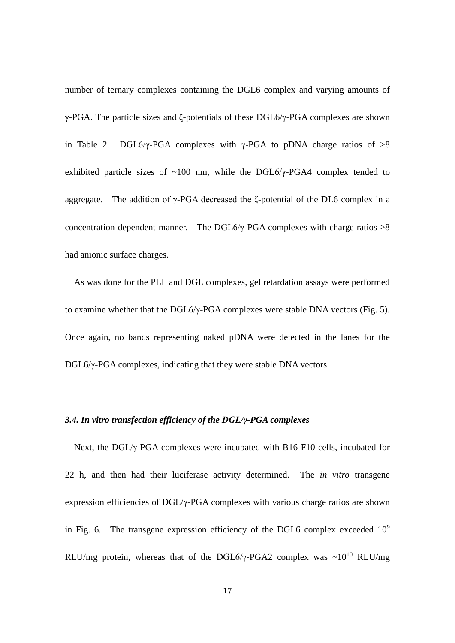number of ternary complexes containing the DGL6 complex and varying amounts of γ-PGA. The particle sizes and ζ-potentials of these DGL6/γ-PGA complexes are shown in Table 2. DGL6/γ-PGA complexes with γ-PGA to pDNA charge ratios of  $>8$ exhibited particle sizes of  $~100$  nm, while the DGL6/ $\gamma$ -PGA4 complex tended to aggregate. The addition of  $\gamma$ -PGA decreased the ζ-potential of the DL6 complex in a concentration-dependent manner. The DGL6/ $\gamma$ -PGA complexes with charge ratios  $>8$ had anionic surface charges.

 As was done for the PLL and DGL complexes, gel retardation assays were performed to examine whether that the DGL6/γ-PGA complexes were stable DNA vectors (Fig. 5). Once again, no bands representing naked pDNA were detected in the lanes for the DGL6/γ-PGA complexes, indicating that they were stable DNA vectors.

# *3.4. In vitro transfection efficiency of the DGL/γ-PGA complexes*

 Next, the DGL/γ-PGA complexes were incubated with B16-F10 cells, incubated for 22 h, and then had their luciferase activity determined. The *in vitro* transgene expression efficiencies of DGL/γ-PGA complexes with various charge ratios are shown in Fig. 6. The transgene expression efficiency of the DGL6 complex exceeded  $10^9$ RLU/mg protein, whereas that of the DGL6/γ-PGA2 complex was  $\sim 10^{10}$  RLU/mg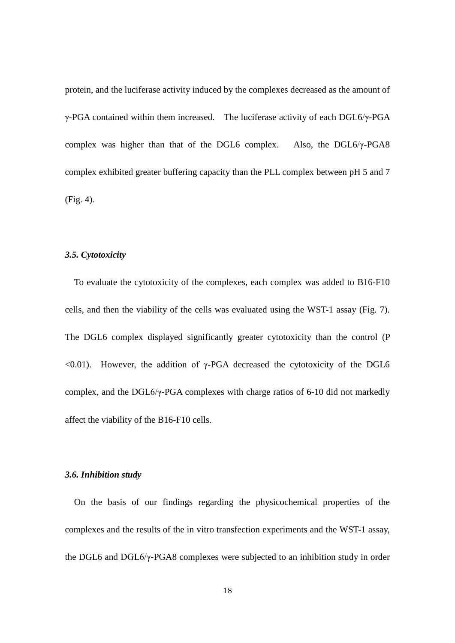protein, and the luciferase activity induced by the complexes decreased as the amount of γ-PGA contained within them increased. The luciferase activity of each DGL6/γ-PGA complex was higher than that of the DGL6 complex. Also, the DGL6/γ-PGA8 complex exhibited greater buffering capacity than the PLL complex between pH 5 and 7 (Fig. 4).

# *3.5. Cytotoxicity*

 To evaluate the cytotoxicity of the complexes, each complex was added to B16-F10 cells, and then the viability of the cells was evaluated using the WST-1 assay (Fig. 7). The DGL6 complex displayed significantly greater cytotoxicity than the control (P  $\leq 0.01$ ). However, the addition of γ-PGA decreased the cytotoxicity of the DGL6 complex, and the DGL6/γ-PGA complexes with charge ratios of 6-10 did not markedly affect the viability of the B16-F10 cells.

# *3.6. Inhibition study*

 On the basis of our findings regarding the physicochemical properties of the complexes and the results of the in vitro transfection experiments and the WST-1 assay, the DGL6 and DGL6/γ-PGA8 complexes were subjected to an inhibition study in order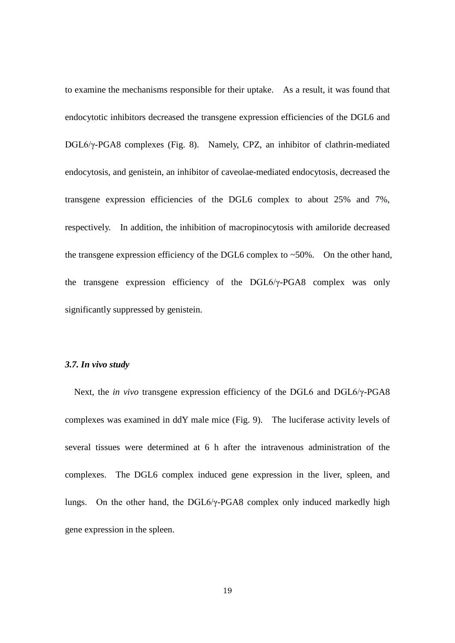to examine the mechanisms responsible for their uptake. As a result, it was found that endocytotic inhibitors decreased the transgene expression efficiencies of the DGL6 and DGL6/γ-PGA8 complexes (Fig. 8). Namely, CPZ, an inhibitor of clathrin-mediated endocytosis, and genistein, an inhibitor of caveolae-mediated endocytosis, decreased the transgene expression efficiencies of the DGL6 complex to about 25% and 7%, respectively. In addition, the inhibition of macropinocytosis with amiloride decreased the transgene expression efficiency of the DGL6 complex to  $\sim$  50%. On the other hand, the transgene expression efficiency of the DGL6/γ-PGA8 complex was only significantly suppressed by genistein.

#### *3.7. In vivo study*

 Next, the *in vivo* transgene expression efficiency of the DGL6 and DGL6/γ-PGA8 complexes was examined in ddY male mice (Fig. 9). The luciferase activity levels of several tissues were determined at 6 h after the intravenous administration of the complexes. The DGL6 complex induced gene expression in the liver, spleen, and lungs. On the other hand, the DGL6/γ-PGA8 complex only induced markedly high gene expression in the spleen.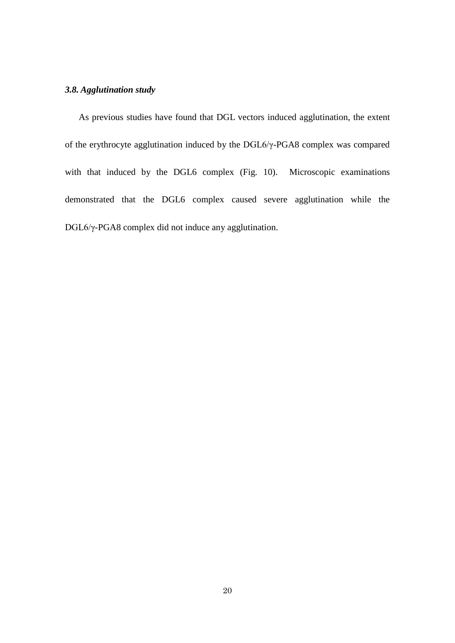# *3.8. Agglutination study*

 As previous studies have found that DGL vectors induced agglutination, the extent of the erythrocyte agglutination induced by the DGL6/γ-PGA8 complex was compared with that induced by the DGL6 complex (Fig. 10). Microscopic examinations demonstrated that the DGL6 complex caused severe agglutination while the DGL6/γ-PGA8 complex did not induce any agglutination.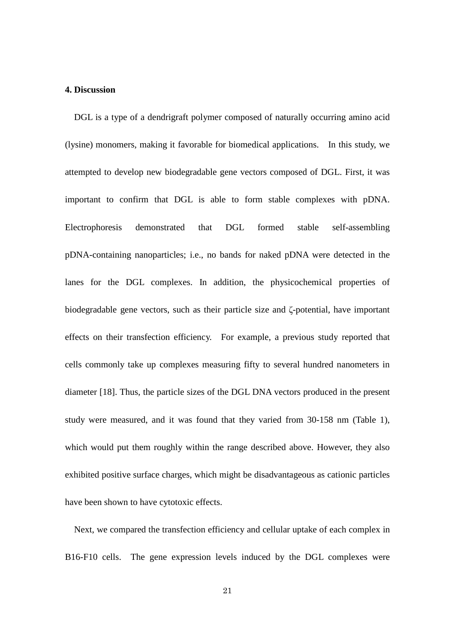### **4. Discussion**

 DGL is a type of a dendrigraft polymer composed of naturally occurring amino acid (lysine) monomers, making it favorable for biomedical applications. In this study, we attempted to develop new biodegradable gene vectors composed of DGL. First, it was important to confirm that DGL is able to form stable complexes with pDNA. Electrophoresis demonstrated that DGL formed stable self-assembling pDNA-containing nanoparticles; i.e., no bands for naked pDNA were detected in the lanes for the DGL complexes. In addition, the physicochemical properties of biodegradable gene vectors, such as their particle size and ζ-potential, have important effects on their transfection efficiency. For example, a previous study reported that cells commonly take up complexes measuring fifty to several hundred nanometers in diameter [18]. Thus, the particle sizes of the DGL DNA vectors produced in the present study were measured, and it was found that they varied from 30-158 nm (Table 1), which would put them roughly within the range described above. However, they also exhibited positive surface charges, which might be disadvantageous as cationic particles have been shown to have cytotoxic effects.

Next, we compared the transfection efficiency and cellular uptake of each complex in B16-F10 cells. The gene expression levels induced by the DGL complexes were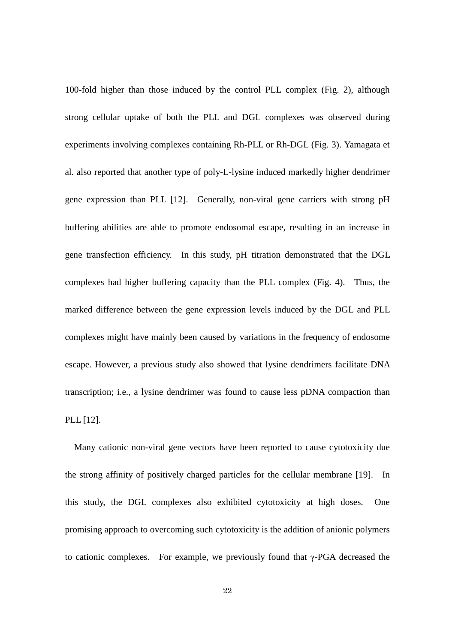100-fold higher than those induced by the control PLL complex (Fig. 2), although strong cellular uptake of both the PLL and DGL complexes was observed during experiments involving complexes containing Rh-PLL or Rh-DGL (Fig. 3). Yamagata et al. also reported that another type of poly-L-lysine induced markedly higher dendrimer gene expression than PLL [12]. Generally, non-viral gene carriers with strong pH buffering abilities are able to promote endosomal escape, resulting in an increase in gene transfection efficiency. In this study, pH titration demonstrated that the DGL complexes had higher buffering capacity than the PLL complex (Fig. 4). Thus, the marked difference between the gene expression levels induced by the DGL and PLL complexes might have mainly been caused by variations in the frequency of endosome escape. However, a previous study also showed that lysine dendrimers facilitate DNA transcription; i.e., a lysine dendrimer was found to cause less pDNA compaction than PLL [12].

 Many cationic non-viral gene vectors have been reported to cause cytotoxicity due the strong affinity of positively charged particles for the cellular membrane [19]. In this study, the DGL complexes also exhibited cytotoxicity at high doses. One promising approach to overcoming such cytotoxicity is the addition of anionic polymers to cationic complexes. For example, we previously found that γ-PGA decreased the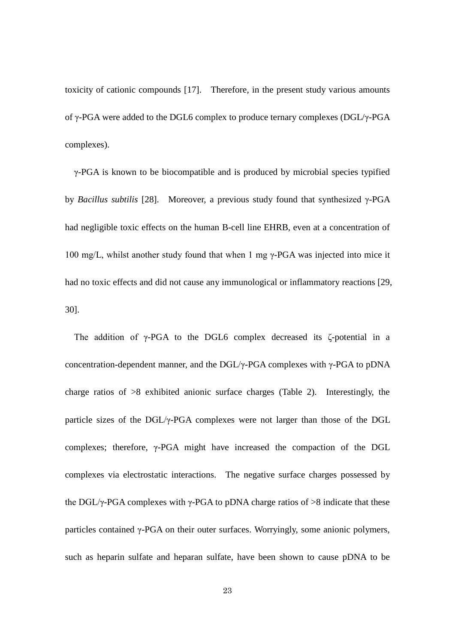toxicity of cationic compounds [17]. Therefore, in the present study various amounts of γ-PGA were added to the DGL6 complex to produce ternary complexes (DGL/γ-PGA complexes).

γ-PGA is known to be biocompatible and is produced by microbial species typified by *Bacillus subtilis* [28]. Moreover, a previous study found that synthesized γ-PGA had negligible toxic effects on the human B-cell line EHRB, even at a concentration of 100 mg/L, whilst another study found that when 1 mg γ-PGA was injected into mice it had no toxic effects and did not cause any immunological or inflammatory reactions [29, 30].

The addition of γ-PGA to the DGL6 complex decreased its ζ-potential in a concentration-dependent manner, and the DGL/ $\gamma$ -PGA complexes with  $\gamma$ -PGA to pDNA charge ratios of >8 exhibited anionic surface charges (Table 2). Interestingly, the particle sizes of the DGL/γ-PGA complexes were not larger than those of the DGL complexes; therefore, γ-PGA might have increased the compaction of the DGL complexes via electrostatic interactions. The negative surface charges possessed by the DGL/ $\gamma$ -PGA complexes with  $\gamma$ -PGA to pDNA charge ratios of  $>8$  indicate that these particles contained γ-PGA on their outer surfaces. Worryingly, some anionic polymers, such as heparin sulfate and heparan sulfate, have been shown to cause pDNA to be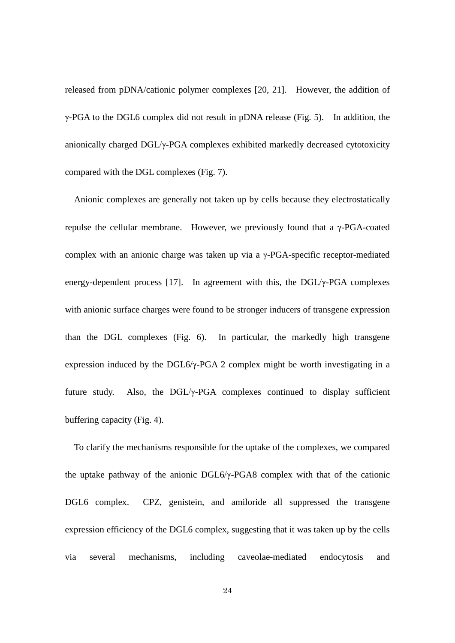released from pDNA/cationic polymer complexes [20, 21]. However, the addition of γ-PGA to the DGL6 complex did not result in pDNA release (Fig. 5). In addition, the anionically charged DGL/γ-PGA complexes exhibited markedly decreased cytotoxicity compared with the DGL complexes (Fig. 7).

Anionic complexes are generally not taken up by cells because they electrostatically repulse the cellular membrane. However, we previously found that a γ-PGA-coated complex with an anionic charge was taken up via a γ-PGA-specific receptor-mediated energy-dependent process [17]. In agreement with this, the DGL/γ-PGA complexes with anionic surface charges were found to be stronger inducers of transgene expression than the DGL complexes (Fig. 6). In particular, the markedly high transgene expression induced by the DGL6/γ-PGA 2 complex might be worth investigating in a future study. Also, the DGL/γ-PGA complexes continued to display sufficient buffering capacity (Fig. 4).

To clarify the mechanisms responsible for the uptake of the complexes, we compared the uptake pathway of the anionic DGL6/γ-PGA8 complex with that of the cationic DGL6 complex. CPZ, genistein, and amiloride all suppressed the transgene expression efficiency of the DGL6 complex, suggesting that it was taken up by the cells via several mechanisms, including caveolae-mediated endocytosis and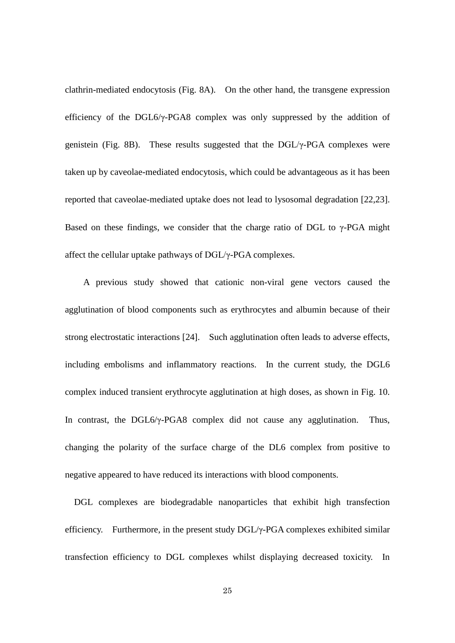clathrin-mediated endocytosis (Fig. 8A). On the other hand, the transgene expression efficiency of the DGL6/ $\gamma$ -PGA8 complex was only suppressed by the addition of genistein (Fig. 8B). These results suggested that the DGL/γ-PGA complexes were taken up by caveolae-mediated endocytosis, which could be advantageous as it has been reported that caveolae-mediated uptake does not lead to lysosomal degradation [22,23]. Based on these findings, we consider that the charge ratio of DGL to  $\gamma$ -PGA might affect the cellular uptake pathways of DGL/γ-PGA complexes.

 A previous study showed that cationic non-viral gene vectors caused the agglutination of blood components such as erythrocytes and albumin because of their strong electrostatic interactions [24]. Such agglutination often leads to adverse effects, including embolisms and inflammatory reactions. In the current study, the DGL6 complex induced transient erythrocyte agglutination at high doses, as shown in Fig. 10. In contrast, the DGL6/γ-PGA8 complex did not cause any agglutination. Thus, changing the polarity of the surface charge of the DL6 complex from positive to negative appeared to have reduced its interactions with blood components.

 DGL complexes are biodegradable nanoparticles that exhibit high transfection efficiency. Furthermore, in the present study DGL/γ-PGA complexes exhibited similar transfection efficiency to DGL complexes whilst displaying decreased toxicity. In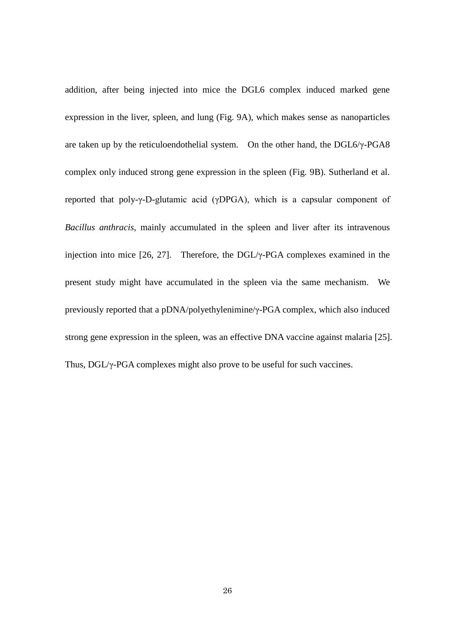addition, after being injected into mice the DGL6 complex induced marked gene expression in the liver, spleen, and lung (Fig. 9A), which makes sense as nanoparticles are taken up by the reticuloendothelial system. On the other hand, the DGL6/γ-PGA8 complex only induced strong gene expression in the spleen (Fig. 9B). Sutherland et al. reported that poly-γ-D-glutamic acid (γDPGA), which is a capsular component of *Bacillus anthracis*, mainly accumulated in the spleen and liver after its intravenous injection into mice [26, 27]. Therefore, the DGL/γ-PGA complexes examined in the present study might have accumulated in the spleen via the same mechanism. We previously reported that a pDNA/polyethylenimine/γ-PGA complex, which also induced strong gene expression in the spleen, was an effective DNA vaccine against malaria [25]. Thus, DGL/γ-PGA complexes might also prove to be useful for such vaccines.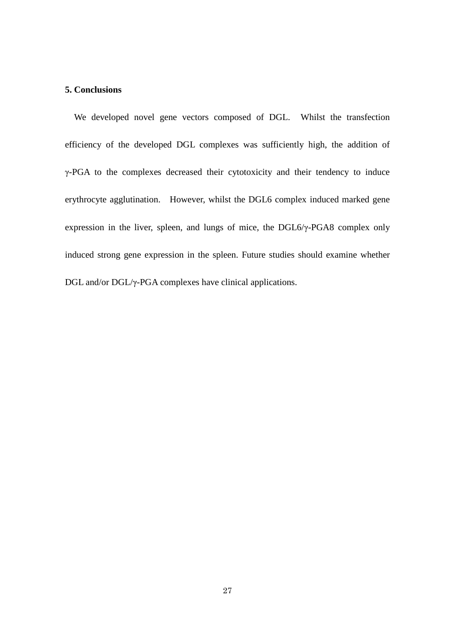# **5. Conclusions**

 We developed novel gene vectors composed of DGL. Whilst the transfection efficiency of the developed DGL complexes was sufficiently high, the addition of γ-PGA to the complexes decreased their cytotoxicity and their tendency to induce erythrocyte agglutination. However, whilst the DGL6 complex induced marked gene expression in the liver, spleen, and lungs of mice, the DGL6/γ-PGA8 complex only induced strong gene expression in the spleen. Future studies should examine whether DGL and/or DGL/γ-PGA complexes have clinical applications.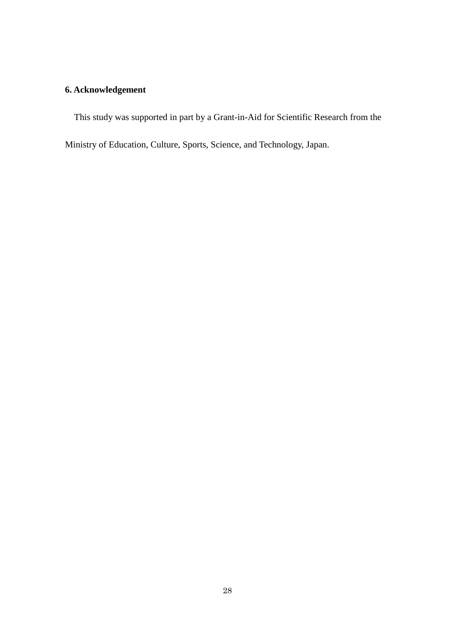# **6. Acknowledgement**

This study was supported in part by a Grant-in-Aid for Scientific Research from the

Ministry of Education, Culture, Sports, Science, and Technology, Japan.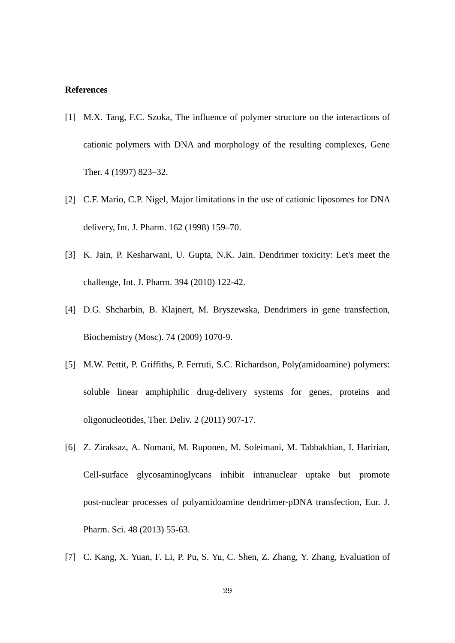#### **References**

- [1] M.X. Tang, F.C. Szoka, The influence of polymer structure on the interactions of cationic polymers with DNA and morphology of the resulting complexes, Gene Ther. 4 (1997) 823–32.
- [2] C.F. Mario, C.P. Nigel, Major limitations in the use of cationic liposomes for DNA delivery, Int. J. Pharm. 162 (1998) 159–70.
- [3] K. Jain, P. Kesharwani, U. Gupta, N.K. Jain. Dendrimer toxicity: Let's meet the challenge, Int. J. Pharm. 394 (2010) 122-42.
- [4] D.G. Shcharbin, B. Klajnert, M. Bryszewska, Dendrimers in gene transfection, Biochemistry (Mosc). 74 (2009) 1070-9.
- [5] M.W. Pettit, P. Griffiths, P. Ferruti, S.C. Richardson, Poly(amidoamine) polymers: soluble linear amphiphilic drug-delivery systems for genes, proteins and oligonucleotides, Ther. Deliv. 2 (2011) 907-17.
- [6] Z. Ziraksaz, A. Nomani, M. Ruponen, M. Soleimani, M. Tabbakhian, I. Haririan, Cell-surface glycosaminoglycans inhibit intranuclear uptake but promote post-nuclear processes of polyamidoamine dendrimer-pDNA transfection, Eur. J. Pharm. Sci. 48 (2013) 55-63.
- [7] C. Kang, X. Yuan, F. Li, P. Pu, S. Yu, C. Shen, Z. Zhang, Y. Zhang, Evaluation of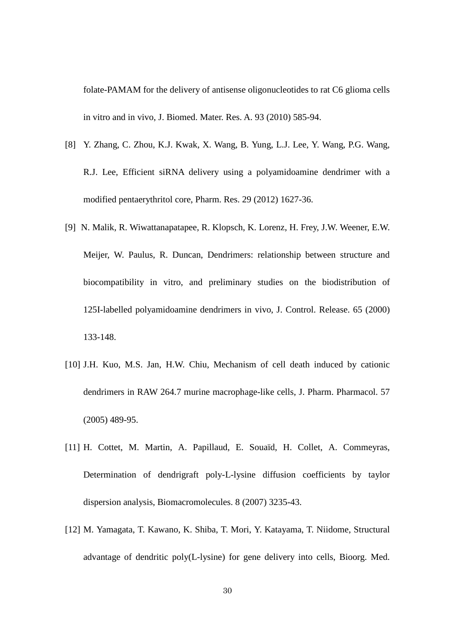folate-PAMAM for the delivery of antisense oligonucleotides to rat C6 glioma cells in vitro and in vivo, J. Biomed. Mater. Res. A. 93 (2010) 585-94.

- [8] Y. Zhang, C. Zhou, K.J. Kwak, X. Wang, B. Yung, L.J. Lee, Y. Wang, P.G. Wang, R.J. Lee, Efficient siRNA delivery using a polyamidoamine dendrimer with a modified pentaerythritol core, Pharm. Res. 29 (2012) 1627-36.
- [9] N. Malik, R. Wiwattanapatapee, R. Klopsch, K. Lorenz, H. Frey, J.W. Weener, E.W. Meijer, W. Paulus, R. Duncan, Dendrimers: relationship between structure and biocompatibility in vitro, and preliminary studies on the biodistribution of 125I-labelled polyamidoamine dendrimers in vivo, J. Control. Release. 65 (2000) 133-148.
- [10] J.H. Kuo, M.S. Jan, H.W. Chiu, Mechanism of cell death induced by cationic dendrimers in RAW 264.7 murine macrophage-like cells, J. Pharm. Pharmacol. 57 (2005) 489-95.
- [11] H. Cottet, M. Martin, A. Papillaud, E. Souaïd, H. Collet, A. Commeyras, Determination of dendrigraft poly-L-lysine diffusion coefficients by taylor dispersion analysis, Biomacromolecules. 8 (2007) 3235-43.
- [12] M. Yamagata, T. Kawano, K. Shiba, T. Mori, Y. Katayama, T. Niidome, Structural advantage of dendritic poly(L-lysine) for gene delivery into cells, Bioorg. Med.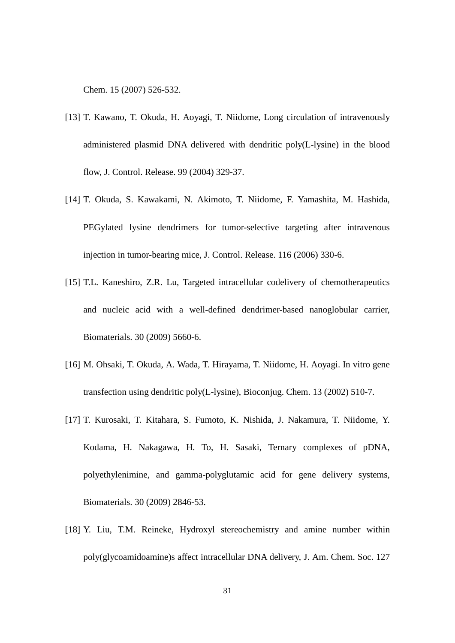Chem. 15 (2007) 526-532.

- [13] T. Kawano, T. Okuda, H. Aoyagi, T. Niidome, Long circulation of intravenously administered plasmid DNA delivered with dendritic poly(L-lysine) in the blood flow, J. Control. Release. 99 (2004) 329-37.
- [14] T. Okuda, S. Kawakami, N. Akimoto, T. Niidome, F. Yamashita, M. Hashida, PEGylated lysine dendrimers for tumor-selective targeting after intravenous injection in tumor-bearing mice, J. Control. Release. 116 (2006) 330-6.
- [15] T.L. Kaneshiro, Z.R. Lu, Targeted intracellular codelivery of chemotherapeutics and nucleic acid with a well-defined dendrimer-based nanoglobular carrier, Biomaterials. 30 (2009) 5660-6.
- [16] M. Ohsaki, T. Okuda, A. Wada, T. Hirayama, T. Niidome, H. Aoyagi. In vitro gene transfection using dendritic poly(L-lysine), Bioconjug. Chem. 13 (2002) 510-7.
- [17] T. Kurosaki, T. Kitahara, S. Fumoto, K. Nishida, J. Nakamura, T. Niidome, Y. Kodama, H. Nakagawa, H. To, H. Sasaki, Ternary complexes of pDNA, polyethylenimine, and gamma-polyglutamic acid for gene delivery systems, Biomaterials. 30 (2009) 2846-53.
- [18] Y. Liu, T.M. Reineke, Hydroxyl stereochemistry and amine number within poly(glycoamidoamine)s affect intracellular DNA delivery, J. Am. Chem. Soc. 127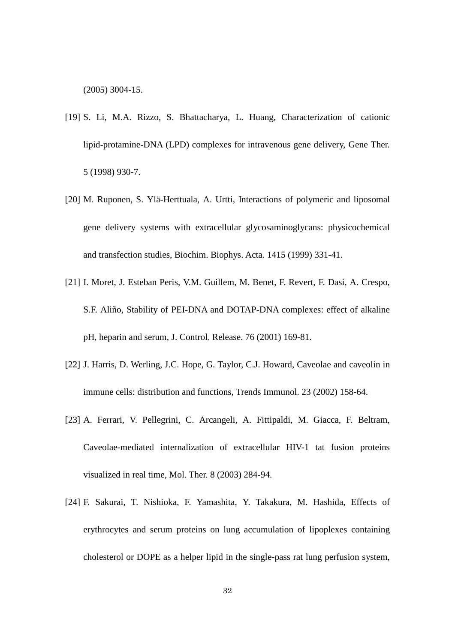(2005) 3004-15.

- [19] S. Li, M.A. Rizzo, S. Bhattacharya, L. Huang, Characterization of cationic lipid-protamine-DNA (LPD) complexes for intravenous gene delivery, Gene Ther. 5 (1998) 930-7.
- [20] M. Ruponen, S. Ylä-Herttuala, A. Urtti, Interactions of polymeric and liposomal gene delivery systems with extracellular glycosaminoglycans: physicochemical and transfection studies, Biochim. Biophys. Acta. 1415 (1999) 331-41.
- [21] I. Moret, J. Esteban Peris, V.M. Guillem, M. Benet, F. Revert, F. Dasí, A. Crespo, S.F. Aliño, Stability of PEI-DNA and DOTAP-DNA complexes: effect of alkaline pH, heparin and serum, J. Control. Release. 76 (2001) 169-81.
- [22] J. Harris, D. Werling, J.C. Hope, G. Taylor, C.J. Howard, Caveolae and caveolin in immune cells: distribution and functions, Trends Immunol. 23 (2002) 158-64.
- [23] A. Ferrari, V. Pellegrini, C. Arcangeli, A. Fittipaldi, M. Giacca, F. Beltram, Caveolae-mediated internalization of extracellular HIV-1 tat fusion proteins visualized in real time, Mol. Ther. 8 (2003) 284-94.
- [24] F. Sakurai, T. Nishioka, F. Yamashita, Y. Takakura, M. Hashida, Effects of erythrocytes and serum proteins on lung accumulation of lipoplexes containing cholesterol or DOPE as a helper lipid in the single-pass rat lung perfusion system,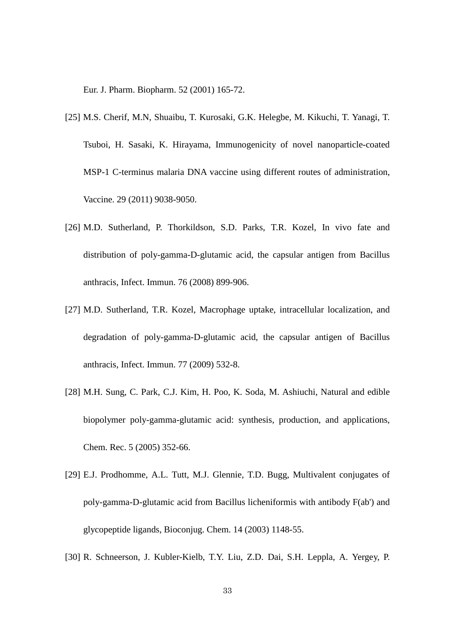Eur. J. Pharm. Biopharm. 52 (2001) 165-72.

- [25] M.S. Cherif, M.N, Shuaibu, T. Kurosaki, G.K. Helegbe, M. Kikuchi, T. Yanagi, T. Tsuboi, H. Sasaki, K. Hirayama, Immunogenicity of novel nanoparticle-coated MSP-1 C-terminus malaria DNA vaccine using different routes of administration, Vaccine. 29 (2011) 9038-9050.
- [26] M.D. Sutherland, P. Thorkildson, S.D. Parks, T.R. Kozel, In vivo fate and distribution of poly-gamma-D-glutamic acid, the capsular antigen from Bacillus anthracis, Infect. Immun. 76 (2008) 899-906.
- [27] M.D. Sutherland, T.R. Kozel, Macrophage uptake, intracellular localization, and degradation of poly-gamma-D-glutamic acid, the capsular antigen of Bacillus anthracis, Infect. Immun. 77 (2009) 532-8.
- [28] M.H. Sung, C. Park, C.J. Kim, H. Poo, K. Soda, M. Ashiuchi, Natural and edible biopolymer poly-gamma-glutamic acid: synthesis, production, and applications, Chem. Rec. 5 (2005) 352-66.
- [29] E.J. Prodhomme, A.L. Tutt, M.J. Glennie, T.D. Bugg, Multivalent conjugates of poly-gamma-D-glutamic acid from Bacillus licheniformis with antibody F(ab') and glycopeptide ligands, Bioconjug. Chem. 14 (2003) 1148-55.
- [30] R. Schneerson, J. Kubler-Kielb, T.Y. Liu, Z.D. Dai, S.H. Leppla, A. Yergey, P.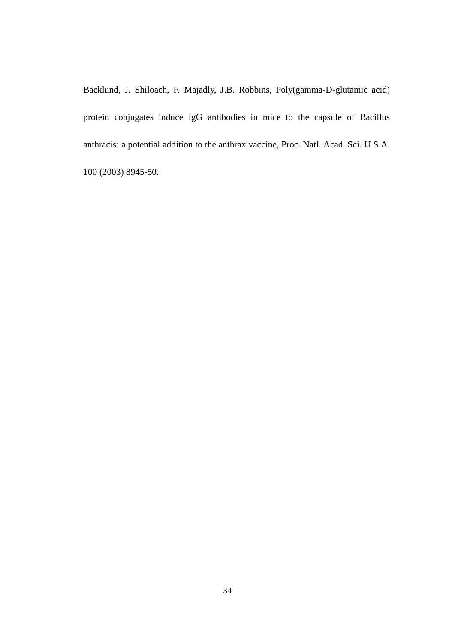Backlund, J. Shiloach, F. Majadly, J.B. Robbins, Poly(gamma-D-glutamic acid) protein conjugates induce IgG antibodies in mice to the capsule of Bacillus anthracis: a potential addition to the anthrax vaccine, Proc. Natl. Acad. Sci. U S A. 100 (2003) 8945-50.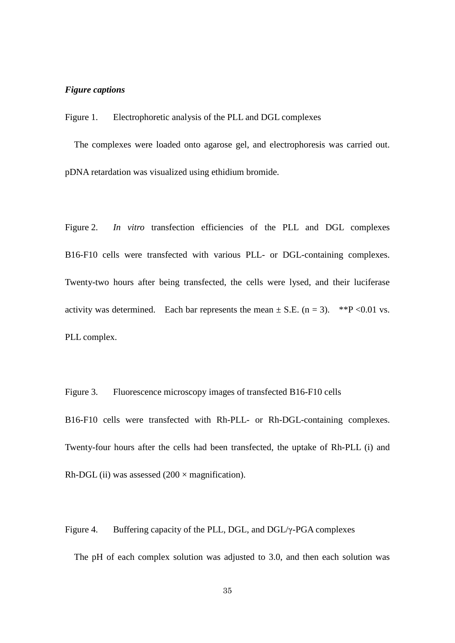# *Figure captions*

Figure 1. Electrophoretic analysis of the PLL and DGL complexes

 The complexes were loaded onto agarose gel, and electrophoresis was carried out. pDNA retardation was visualized using ethidium bromide.

Figure 2. *In vitro* transfection efficiencies of the PLL and DGL complexes B16-F10 cells were transfected with various PLL- or DGL-containing complexes. Twenty-two hours after being transfected, the cells were lysed, and their luciferase activity was determined. Each bar represents the mean  $\pm$  S.E. (n = 3). \*\*P <0.01 vs. PLL complex.

Figure 3. Fluorescence microscopy images of transfected B16-F10 cells B16-F10 cells were transfected with Rh-PLL- or Rh-DGL-containing complexes. Twenty-four hours after the cells had been transfected, the uptake of Rh-PLL (i) and Rh-DGL (ii) was assessed  $(200 \times$  magnification).

Figure 4. Buffering capacity of the PLL, DGL, and DGL/γ-PGA complexes

The pH of each complex solution was adjusted to 3.0, and then each solution was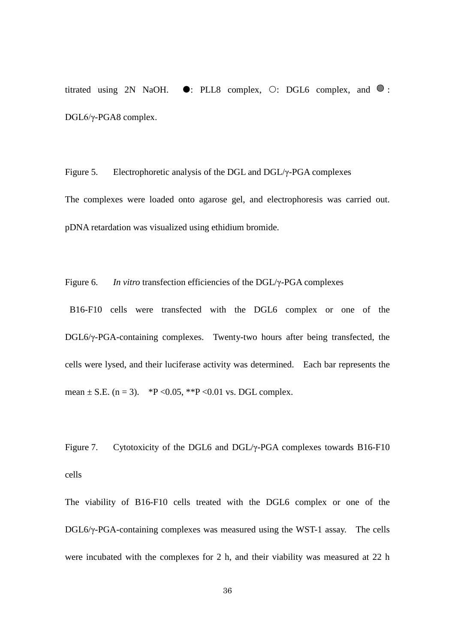titrated using 2N NaOH.  $\bullet$ : PLL8 complex,  $\circ$ : DGL6 complex, and  $\bullet$ : DGL6/γ-PGA8 complex.

Figure 5. Electrophoretic analysis of the DGL and DGL/γ-PGA complexes The complexes were loaded onto agarose gel, and electrophoresis was carried out. pDNA retardation was visualized using ethidium bromide.

Figure 6. *In vitro* transfection efficiencies of the DGL/γ-PGA complexes

B16-F10 cells were transfected with the DGL6 complex or one of the DGL6/γ-PGA-containing complexes. Twenty-two hours after being transfected, the cells were lysed, and their luciferase activity was determined. Each bar represents the mean  $\pm$  S.E. (n = 3). \*P < 0.05, \*\*P < 0.01 vs. DGL complex.

Figure 7. Cytotoxicity of the DGL6 and DGL/γ-PGA complexes towards B16-F10 cells

The viability of B16-F10 cells treated with the DGL6 complex or one of the DGL6/γ-PGA-containing complexes was measured using the WST-1 assay. The cells were incubated with the complexes for 2 h, and their viability was measured at 22 h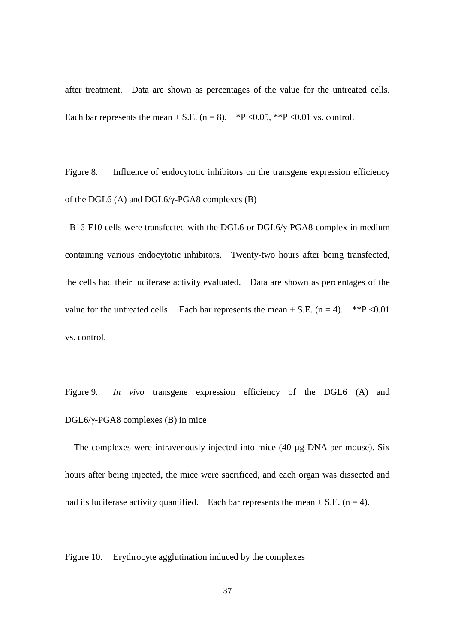after treatment. Data are shown as percentages of the value for the untreated cells. Each bar represents the mean  $\pm$  S.E. (n = 8). \*P <0.05, \*\*P <0.01 vs. control.

Figure 8. Influence of endocytotic inhibitors on the transgene expression efficiency of the DGL6 (A) and DGL6/γ-PGA8 complexes (B)

B16-F10 cells were transfected with the DGL6 or DGL6/γ-PGA8 complex in medium containing various endocytotic inhibitors. Twenty-two hours after being transfected, the cells had their luciferase activity evaluated. Data are shown as percentages of the value for the untreated cells. Each bar represents the mean  $\pm$  S.E. (n = 4). \*\*P < 0.01 vs. control.

Figure 9. *In vivo* transgene expression efficiency of the DGL6 (A) and DGL6/γ-PGA8 complexes (B) in mice

 The complexes were intravenously injected into mice (40 µg DNA per mouse). Six hours after being injected, the mice were sacrificed, and each organ was dissected and had its luciferase activity quantified. Each bar represents the mean  $\pm$  S.E. (n = 4).

Figure 10. Erythrocyte agglutination induced by the complexes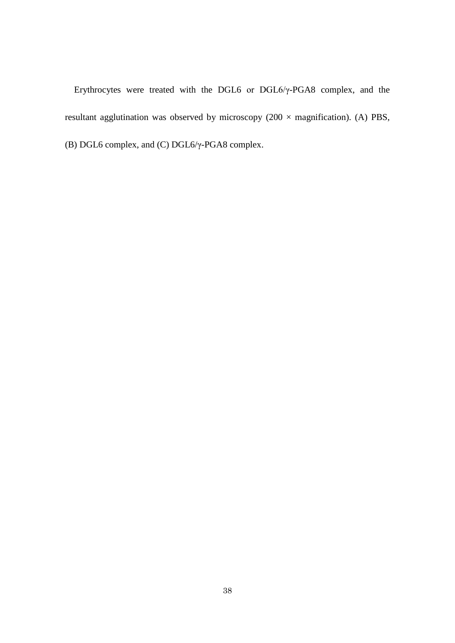Erythrocytes were treated with the DGL6 or DGL6/γ-PGA8 complex, and the resultant agglutination was observed by microscopy (200  $\times$  magnification). (A) PBS, (B) DGL6 complex, and (C) DGL6/γ-PGA8 complex.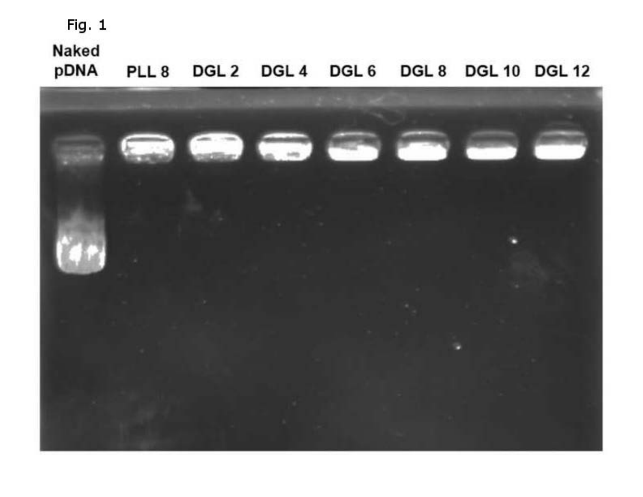# **Naked**

PLL 8 DGL 2 DGL 4 DGL 6 DGL 8 DGL 10 DGL 12 pDNA

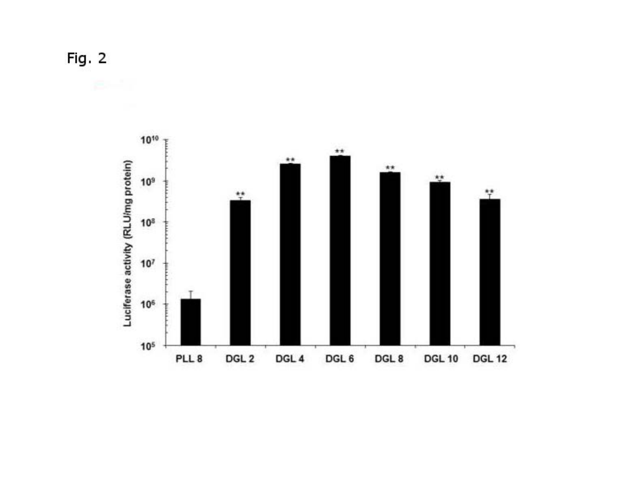Fig. 2

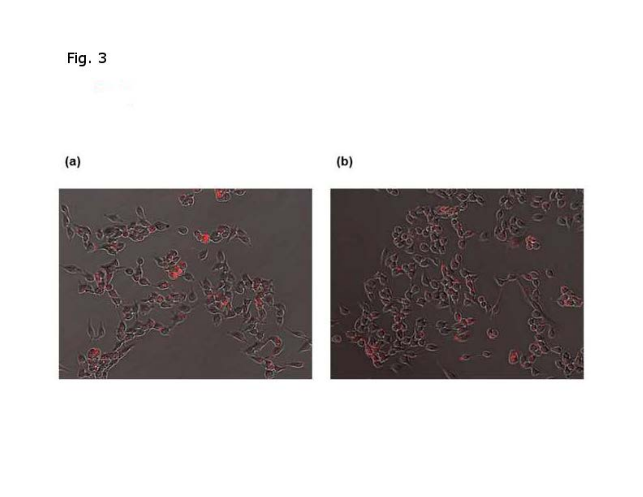$\qquad \qquad \textbf{(a)}$ 

 $\qquad \qquad \textbf{(b)}$ 



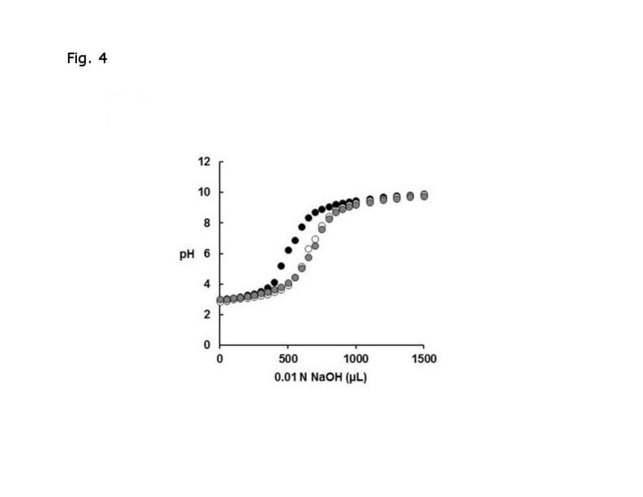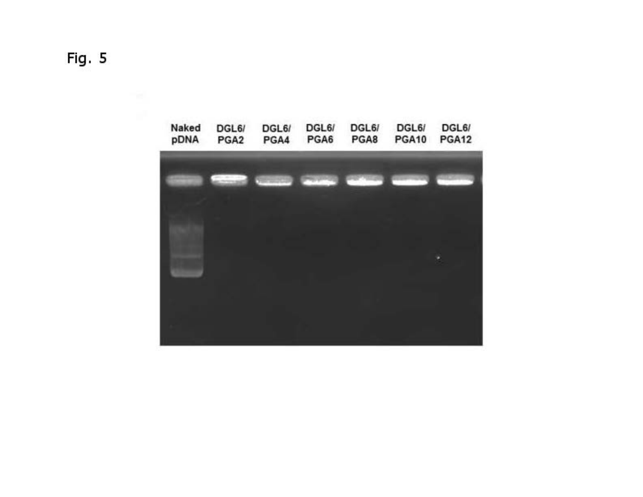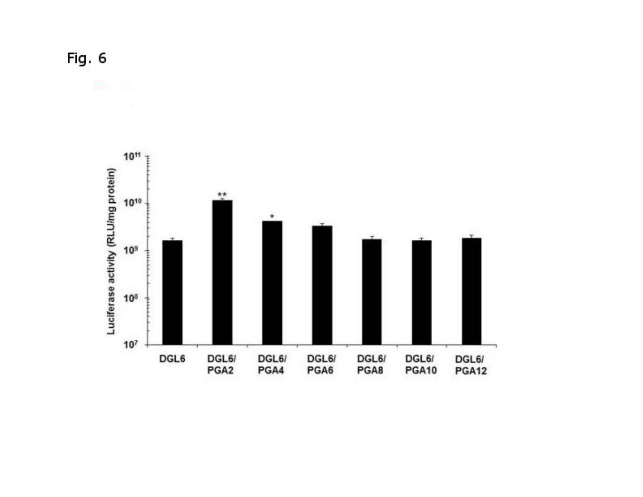Fig. 6

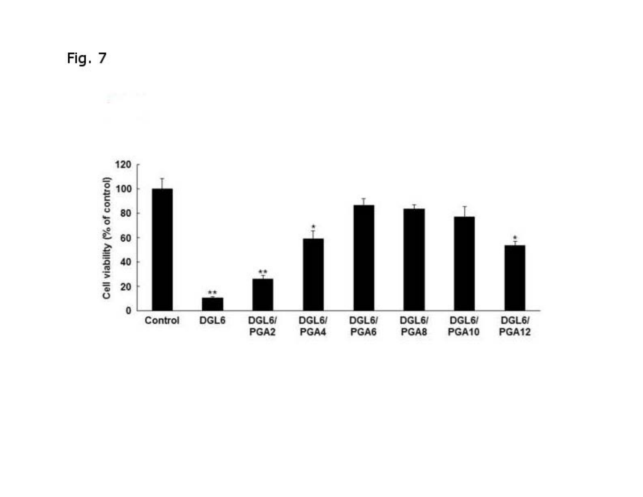Fig. 7

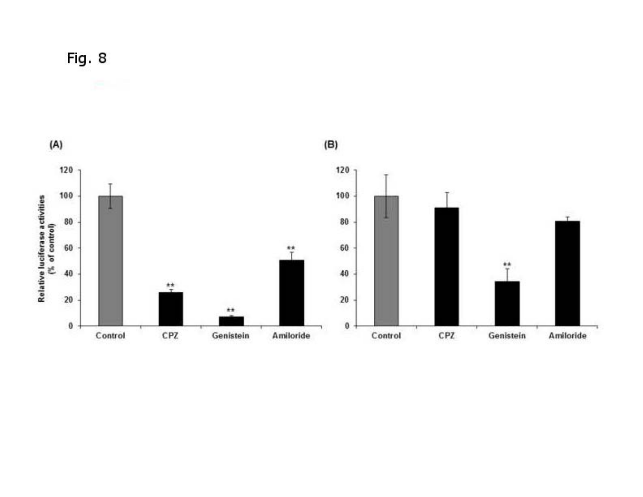

Fig. 8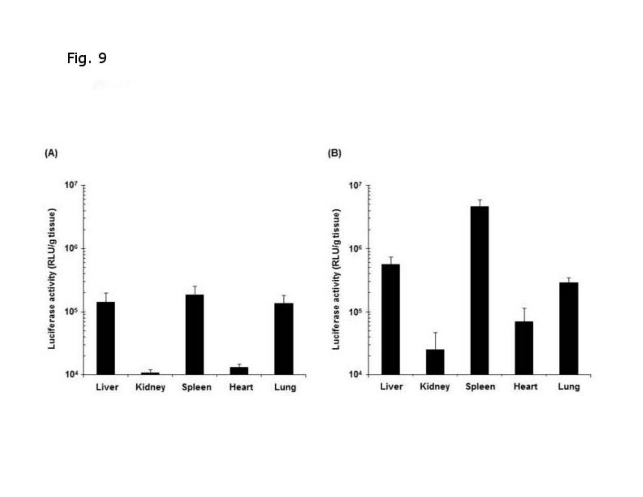